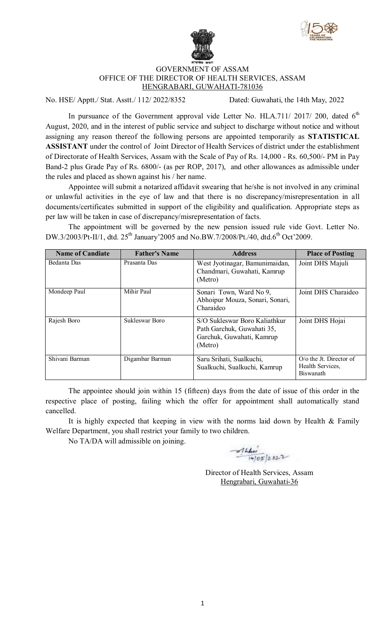



## GOVERNMENT OF ASSAM OFFICE OF THE DIRECTOR OF HEALTH SERVICES, ASSAM HENGRABARI, GUWAHATI-781036

No. HSE/ Apptt./ Stat. Asstt./ 112/ 2022/8352 Dated: Guwahati, the 14th May, 2022

In pursuance of the Government approval vide Letter No. HLA.711/ 2017/ 200, dated  $6<sup>th</sup>$ August, 2020, and in the interest of public service and subject to discharge without notice and without assigning any reason thereof the following persons are appointed temporarily as **STATISTICAL ASSISTANT** under the control of Joint Director of Health Services of district under the establishment of Directorate of Health Services, Assam with the Scale of Pay of Rs. 14,000 - Rs. 60,500/- PM in Pay Band-2 plus Grade Pay of Rs. 6800/- (as per ROP, 2017), and other allowances as admissible under the rules and placed as shown against his / her name.

Appointee will submit a notarized affidavit swearing that he/she is not involved in any criminal or unlawful activities in the eye of law and that there is no discrepancy/misrepresentation in all documents/certificates submitted in support of the eligibility and qualification. Appropriate steps as per law will be taken in case of discrepancy/misrepresentation of facts.

The appointment will be governed by the new pension issued rule vide Govt. Letter No. DW.3/2003/Pt-II/1, dtd. 25<sup>th</sup> January'2005 and No.BW.7/2008/Pt./40, dtd.6<sup>th</sup> Oct'2009.

| <b>Name of Candiate</b> | <b>Father's Name</b> | <b>Address</b>                                                                                      | <b>Place of Posting</b>                                         |
|-------------------------|----------------------|-----------------------------------------------------------------------------------------------------|-----------------------------------------------------------------|
| Bedanta Das             | Prasanta Das         | West Jyotinagar, Bamunimaidan,<br>Chandmari, Guwahati, Kamrup<br>(Metro)                            | Joint DHS Majuli                                                |
| Mondeep Paul            | Mihir Paul           | Sonari Town, Ward No 9,<br>Abhoipur Mouza, Sonari, Sonari,<br>Charaideo                             | Joint DHS Charaideo                                             |
| Rajesh Boro             | Sukleswar Boro       | S/O Sukleswar Boro Kaliathkur<br>Path Garchuk, Guwahati 35,<br>Garchuk, Guwahati, Kamrup<br>(Metro) | Joint DHS Hojai                                                 |
| Shivani Barman          | Digambar Barman      | Saru Srihati, Sualkuchi,<br>Sualkuchi, Sualkuchi, Kamrup                                            | O/o the Jt. Director of<br>Health Services,<br><b>Biswanath</b> |

The appointee should join within 15 (fifteen) days from the date of issue of this order in the respective place of posting, failing which the offer for appointment shall automatically stand cancelled.

It is highly expected that keeping in view with the norms laid down by Health  $\&$  Family Welfare Department, you shall restrict your family to two children.

No TA/DA will admissible on joining.

 $41440$ <br> $(405)2822$ 

Director of Health Services, Assam Hengrabari, Guwahati-36